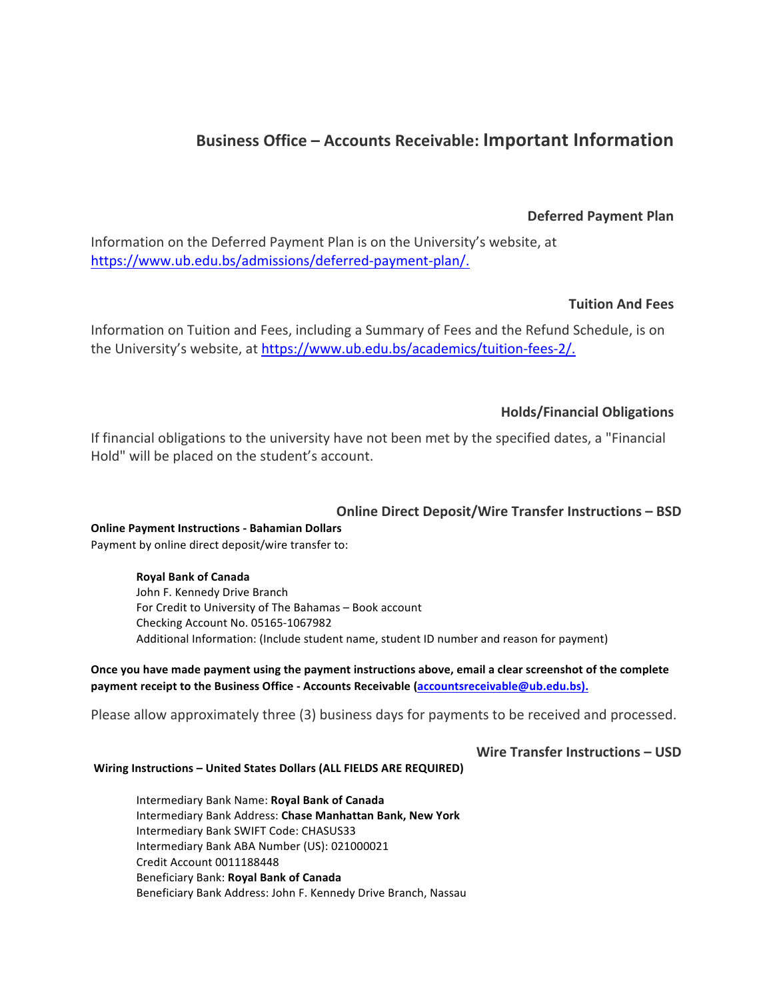# **Business Office – Accounts Receivable: Important Information**

### **Deferred Payment Plan**

Information on the Deferred Payment Plan is on the University's website, at https://www.ub.edu.bs/admissions/deferred-payment-plan/.

## **Tuition And Fees**

Information on Tuition and Fees, including a Summary of Fees and the Refund Schedule, is on the University's website, at https://www.ub.edu.bs/academics/tuition-fees-2/.

# **Holds/Financial Obligations**

If financial obligations to the university have not been met by the specified dates, a "Financial Hold" will be placed on the student's account.

### **Online Direct Deposit/Wire Transfer Instructions – BSD**

**Online Payment Instructions - Bahamian Dollars** Payment by online direct deposit/wire transfer to:

#### **Royal Bank of Canada**

John F. Kennedy Drive Branch For Credit to University of The Bahamas - Book account Checking Account No. 05165-1067982 Additional Information: (Include student name, student ID number and reason for payment)

Once you have made payment using the payment instructions above, email a clear screenshot of the complete payment receipt to the Business Office - Accounts Receivable (accountsreceivable@ub.edu.bs).

Please allow approximately three (3) business days for payments to be received and processed.

**Wire Transfer Instructions – USD**

#### **Wiring Instructions - United States Dollars (ALL FIELDS ARE REQUIRED)**

Intermediary Bank Name: **Royal Bank of Canada** Intermediary Bank Address: **Chase Manhattan Bank, New York** Intermediary Bank SWIFT Code: CHASUS33 Intermediary Bank ABA Number (US): 021000021 Credit Account 0011188448 Beneficiary Bank: **Royal Bank of Canada** Beneficiary Bank Address: John F. Kennedy Drive Branch, Nassau